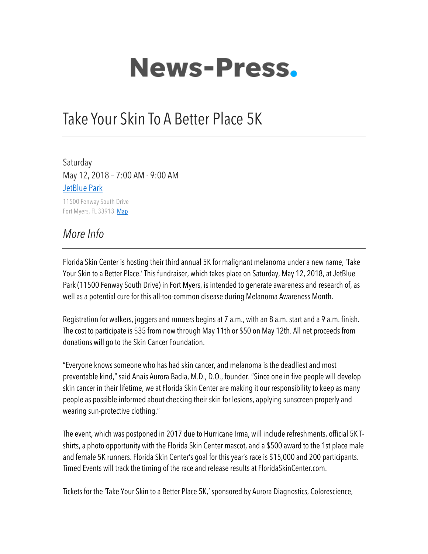## **News-Press.**

## Take Your Skin To A Better Place 5K

Saturday May 12, 2018 – 7:00 AM - 9:00 AM JetBlue Park

11500 Fenway South Drive Fort Myers, FL 33913 Map

## *More Info*

Florida Skin Center is hosting their third annual 5K for malignant melanoma under a new name, 'Take Your Skin to a Better Place.' This fundraiser, which takes place on Saturday, May 12, 2018, at JetBlue Park (11500 Fenway South Drive) in Fort Myers, is intended to generate awareness and research of, as well as a potential cure for this all-too-common disease during Melanoma Awareness Month.

Registration for walkers, joggers and runners begins at 7 a.m., with an 8 a.m. start and a 9 a.m. finish. The cost to participate is \$35 from now through May 11th or \$50 on May 12th. All net proceeds from donations will go to the Skin Cancer Foundation.

"Everyone knows someone who has had skin cancer, and melanoma is the deadliest and most preventable kind," said Anais Aurora Badia, M.D., D.O., founder. "Since one in five people will develop skin cancer in their lifetime, we at Florida Skin Center are making it our responsibility to keep as many people as possible informed about checking their skin for lesions, applying sunscreen properly and wearing sun-protective clothing."

The event, which was postponed in 2017 due to Hurricane Irma, will include refreshments, official 5K Tshirts, a photo opportunity with the Florida Skin Center mascot, and a \$500 award to the 1st place male and female 5K runners. Florida Skin Center's goal for this year's race is \$15,000 and 200 participants. Timed Events will track the timing of the race and release results at FloridaSkinCenter.com.

Tickets for the 'Take Your Skin to a Better Place 5K,' sponsored by Aurora Diagnostics, Colorescience,